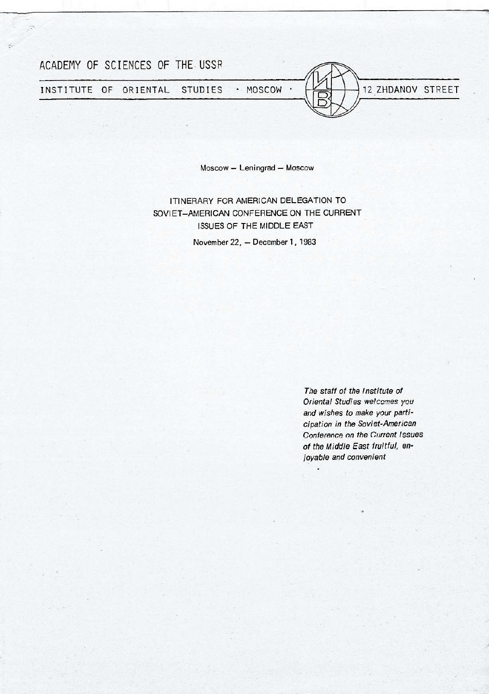

C)

Moscow - Leningrad - Moscow

ITINERARY FOR AMERICAN DELEGATION TO SOVIET-AMERICAN CONFERENCE ON THE CURRENT ISSUES OF THE MIDDLE EAST November 22, - December 1, 1983

> The staff of the Institute of Oriental Studies welcomes you and wishes to make your participation in the Soviet-American Conference on the Current Issues of the Middle East fruitful, enjoyable and convenient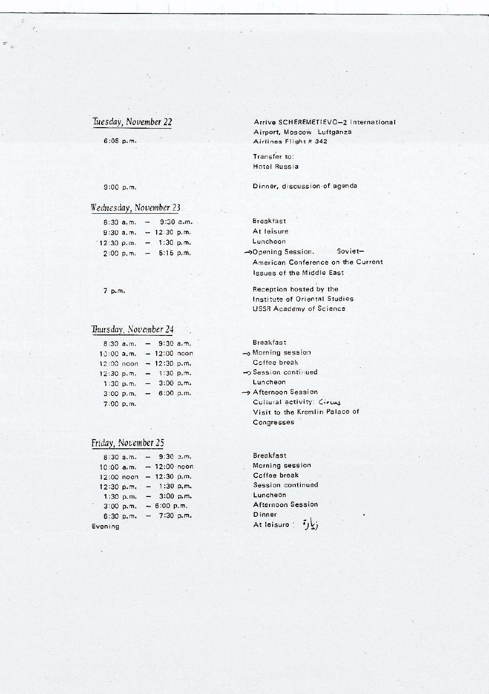# *Tuesday, November 22*

6:05 p.m.

 $\hat{\mathbf{r}}_i$ 

Arrive SCHEREMETIEVO-2 International Airport, Moscow Luftganza Airlines Flight # 342

Transfer to: Hotel Russia

Dinner, discussion of agenda

# 9:00 p.m.

## *Wednesday, Nouember* 23.

|            | 8:30a.m. | $-$            | $9:30$ a.m.   |  |
|------------|----------|----------------|---------------|--|
| 9:30a.m.   |          |                | $-12:30 p.m.$ |  |
| 12:30 p.m. |          |                | $-1:30 p.m.$  |  |
| 2:00 p.m.  |          | $\blacksquare$ | 5:15 p.m.     |  |

7 p.m.

# *Thursday. Noveniber 24*

| $8:30$ a.m. |  | $-9:30$ a.m.               |  |
|-------------|--|----------------------------|--|
| 10:00 a.m.  |  | $-12:00$ noon              |  |
|             |  | $12:00$ noon $-12:30$ p.m. |  |
| 12:30 p.m.  |  | $-1:30 p.m.$               |  |
| 1:30 p.m.   |  | $-3:00 p.m.$               |  |
| 3:00 p.m.   |  | $-6:00 p.m.$               |  |
| 7:00 p.m.   |  |                            |  |

| Friday, November 25 |  |
|---------------------|--|
|                     |  |

| 8:30a.m.   |           | $-9:30$ a.m.        |  |
|------------|-----------|---------------------|--|
| 10:00 a.m. |           | $-12:00 \cdot$ noon |  |
| 12:00 noon |           | $-12:30 p.m.$       |  |
| 12:30 p.m. |           | $-1:30 p.m.$        |  |
| 1:30 p.m.  |           | $-3:00 p.m.$        |  |
| 3:00 p.m.  |           | $-6:00 p.m.$        |  |
|            | 6:30 p.m. | $-7:30 p.m.$        |  |
| Evening    |           |                     |  |

Break fast **At** leisure Luncheon -)Opening Session. Soviet-American Conference on the Current Issues of the Middle East

Reception hosted by the Institute of Oriental Studies USSR Academy of Science

Breakfast

-, Morning session Coffee break -> Session continued

Luncheon  $\rightarrow$  Afternoon Session

Cultural activity: *Circus* Visit to the Kremlin Palace of Congresses

Breakfast Morning session Coffee break Session continued Luncheon Afternoon Session Dinner At leisure: زیا**ر**•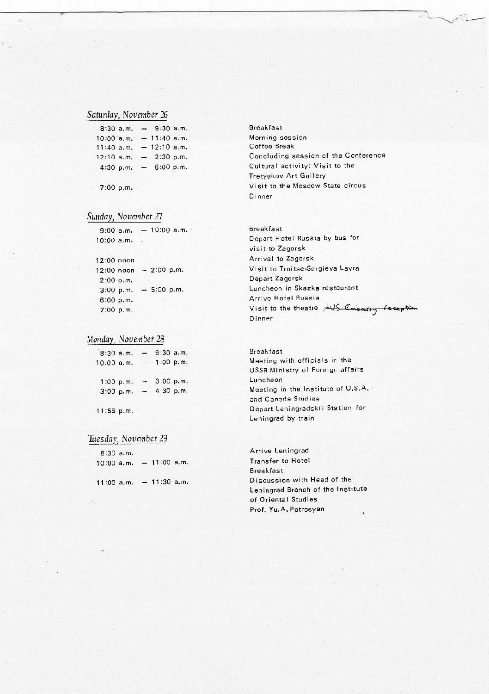## *Saturday, November* 26

|              | 8:30a.m. |                              | $-9:30$ a.m.  |           |  |
|--------------|----------|------------------------------|---------------|-----------|--|
| 10:00 a.m.   |          |                              | $-11:40$ a.m. |           |  |
| $11:40$ a.m. |          |                              | $-12:10$ a.m. |           |  |
| $12:10$ a.m. |          |                              | $-2:30 p.m.$  |           |  |
| 4:30 p.m.    |          | $\qquad \qquad \blacksquare$ |               | 6:00 p.m. |  |
|              |          |                              |               |           |  |

7:00 p.m.

#### *Sw1day, November* 27

 $9:00$  a.m.  $-10:00$  a.m. 10:00 a.m.

## 12 :00 noon 12 :00 noon 2:00 p,m. 2:00 p.m. 3:00 p.m. 5:00 p.m. 6:00 p.m. 7:00 p.m.

#### *Monday, November* 28

| $8:30$ a.m. |               | $9:30$ a.m. |           |
|-------------|---------------|-------------|-----------|
| 10:00 a.m.  |               | 1:00 p.m.   |           |
| 1:00 p.m.   | $\sim$        | 3:00 p.m.   |           |
| 3:00 p.m.   | $\frac{1}{2}$ |             | 4:30 p.m. |
|             |               |             |           |

#### 11:55 p.m. ·

## *Tuesday, November* 29

| $8:30$ a.m.  |  |               |  |
|--------------|--|---------------|--|
| $10:00$ a.m. |  | $-11:00$ a.m. |  |
|              |  |               |  |

11:00 a.m. - 11:30 a.m.

Breakfast Morning session Coffee Break Concluding session of the Conference Cultural activity: Visit to the Tretyakov Art Gallery Visit to the Moscow State circus Dinner

Breakfast Depart Hotel Russia by bus for visit to Zagorsk Arrival to Zagorsk Visit to Troitse-Sergieva Lavra Depart Zagorsk Lun cheon in Skazka restaurant **Arrive Hotsl Russia**  Visit to the theatre 45 Embassy Dinner

### **Breakfast** Meeting with officials in the USSR Ministry of Foreign affairs Luncheon Meeting in the Institute of U.S.A. and **Canada** Studies Depart Leningradskii Station for Leningrad by train

Arrive Leningrad Transfer to Hotel Breakfast Discussion with Head of the Leningrad Branch of the Institute of Oriental Studies Prof. Yu.A. Petrosyan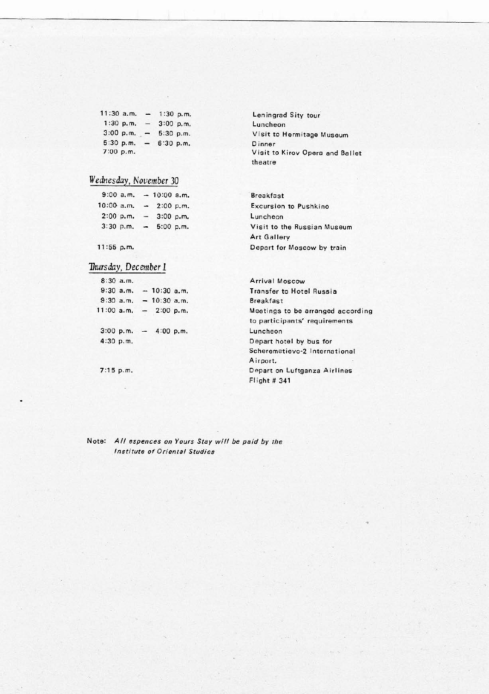| $11:30$ a.m. |                          | 1:30 p.m.   |
|--------------|--------------------------|-------------|
| $1:30$ p.m.  |                          | $3:00$ p.m. |
| 3:00 p.m.    | $\overline{\phantom{0}}$ | 5:30 p.m.   |
| 5:30 p.m.    |                          | 6:30 p.m.   |
| 7:00 p.m.    |                          |             |

Leningrad Sity tour Luncheon Visit to Hermitage Museum Dinner Visit to Kirov Opera and Ballet theatre

# *Wednesday, November* 30

| $9:00$ a.m. |                          |                                                      |
|-------------|--------------------------|------------------------------------------------------|
| 10:00 a.m.  | $\overline{\phantom{a}}$ |                                                      |
| 2:00 p.m.   | $\overline{\phantom{0}}$ |                                                      |
| 3:30 p.m.   | -                        |                                                      |
|             |                          | $-10:00$ a.m.<br>2:00 p.m.<br>3:00 p.m.<br>5:00 p.m. |

11 :55 p.m.

# *Thursday, December 1*

|             | $8:30$ a.m. |               |  |
|-------------|-------------|---------------|--|
| $9:30$ a.m. |             | $-10:30$ a.m. |  |
|             | 9:30a.m.    | $-10:30$ a.m. |  |
| 11:00 a.m.  |             | $-2:00 p.m.$  |  |
|             | 3:00 p.m.   | 4:00 p.m.     |  |
| 4:30 p.m.   |             |               |  |
|             |             |               |  |

7:15 p.m.

Breakfast Excursion to Pushkino Luncheon Visit to the Russian Museum Art Gallery Depart for Moscow by train

Arrival Moscow Transfer to Hotel Russia Breakfast Meetings to be arranged according to participants' requirements Luncheon Depart hotel by bus for Scheremetievo-2 International Airport, Depart on Luftganza Airlines Flight # 341

Note: All espences on Yours Stay wifl be paid by the Institute of Oriental Studies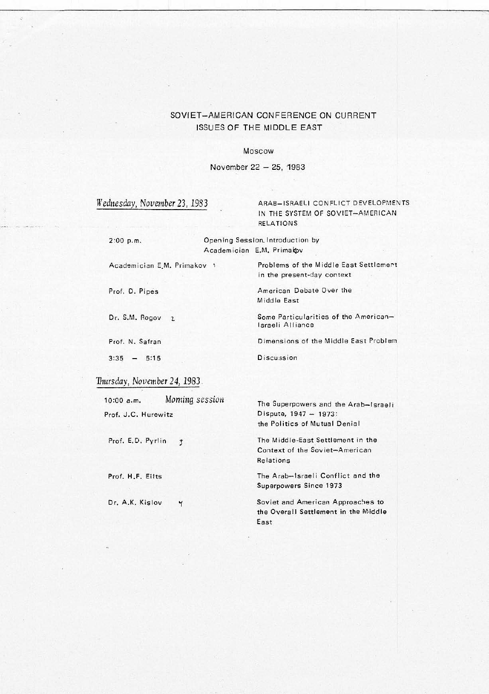# SOVIET-AMERICAN CONFERENCE ON CURRENT ISSUES OF THE MIDDLE EAST

#### Moscow

November 22 - 25, 1983

## Wednesday, November 23, 1983 ARAB-ISRAELI CONFLICT DEVELOPMENTS IN THE SYSTEM OF SOVIET-AMERICAN RELATIONS

in the present-day context

American Debate Over the

Middle East

D iscussion

1 sraeli Alliance

2:00 p.m. Opening Session. Introduction by Academician E.M. Primakov

Academician E.M. Primakov 1 Problems of the Middle East Settlement

Prof. D. Pipes

Dr. S.M. Rogov 2

Prof. N. Safran

 $3:35 - 5:15$ 

## Thursday, November 24, 1983.

| $10:00$ a.m.        | Moming session | The Superpowers and the Arab-Israeli |
|---------------------|----------------|--------------------------------------|
| Prof. J.C. Hurewitz |                | Dispute, 1947 - 1973:                |
|                     |                |                                      |

Prof. E.D. Pyrlin 3

Prof. H.F. Eilts

Dr. A.K. Kislov Y

the Politics of Mutual Denial

Some Particularities of the American-

Dimensions of the Middle East Problem

The Middle-East Settlement in the Context of the Soviet-American Relations

The Arab-Israeli Conflict and the Superpowers Since 1973

Soviet and American Approaches to the Overall Settlement in the Middle East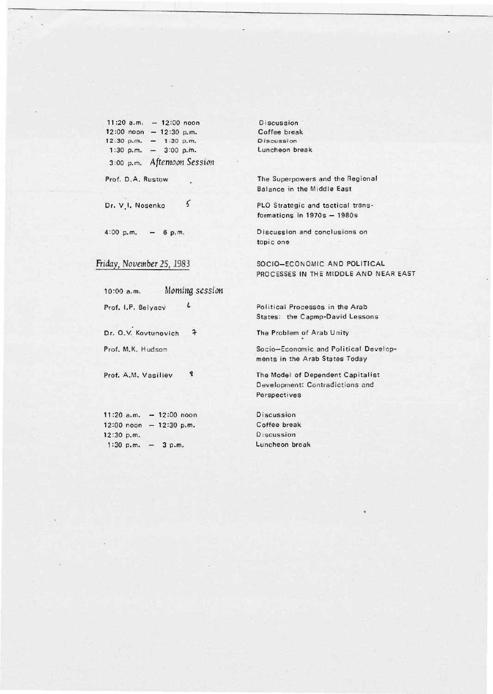11:20 a.m.  $- 12:00$  noon 12:00 noon - 12:30 p.m.<br>12:30 p.m. - 1:30 p.m.<br>1:30 p.m. - 3:00 p.m. 3:00 p.m. Aftemoon Session

Prof. D.A. Rustow

 $\varsigma$ Dr. V.I. Nosenko

 $4:00$  p.m.  $- 6$  p.m.

Friday, November 25, 1983.

10:00 a.m. Moming session

 $\pmb{\iota}$ 

Prof. I.P. Belyaev

Dr. O.V. Kovtunovich  $\overline{\mathbf{r}}$ 

Prof. M.K. Hudson

Prof. A.M. Vasiliev g

11:20 a.m.  $- 12:00$  noon  $12:00$  noon -  $12:30$  p.m. 12:30 p.m. 1:30 p.m.  $-3$  p.m.

Discussion Coffee break Discussion Luncheon break

The Superpowers and the Regional Balance in the Middle East

PLO Strategic and tactical transformations in  $1970s - 1980s$ 

Discussion and conclusions on topic one

SOCIO-ECONOMIC AND POLITICAL PROCESSES IN THE MIDDLE AND NEAR EAST

Political Processes in the Arab States: the Capmp-David Lessons

The Problem of Arab Unity

Socio-Economic and Political Developments in the Arab States Today

The Model of Dependent Capitalist Development: Contradictions and Perspectives

**Discussion** Coffee break Discussion Luncheon break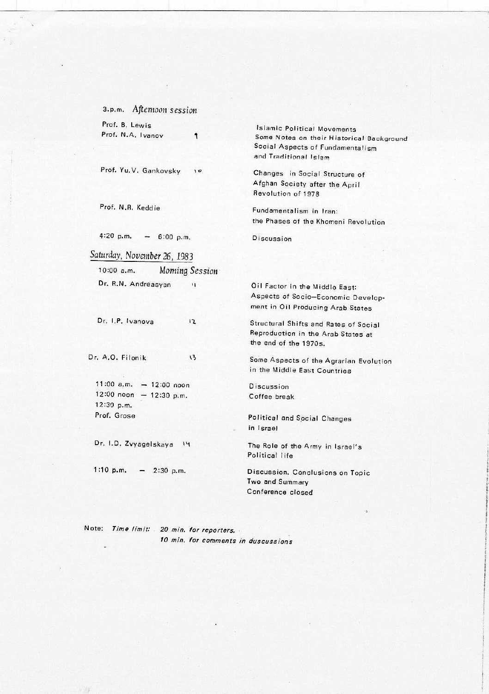3.p.m. Afternoon session Prof. B. Lewis Prof. N.A. Ivanov 1

Prof. Yu.V. Gankovsky  $10$ 

Prof. N.R. Keddie

4:20 p.m.  $- 6:00$  p.m.

Saturday, November 26, 1983

 $10:00$  a.m. Moming Session Dr. R.N. Andreasyan  $\mathbf{u}$ 

Dr. I.P. Ivanova  $12$ 

Dr. A.O. Filonik

 $\sqrt{3}$ 

 $11:00$  a.m.  $- 12:00$  noon  $12:00$  noon - 12:30 p.m. 12:30 p.m. Prof. Grose

Dr. I.D. Zvyagelskaya I4

1:10 p.m.  $-$  2:30 p.m.

**Islamic Political Movements** Some Notes on their Historical Background Social Aspects of Fundamentalism and Traditional Islam

Changes in Social Structure of Afghan Society after the April Revolution of 1978

Fundamentalism in Iran: the Phases of the Khomeni Revolution

Discussion

Oil Factor in the Middle East: Aspects of Socio-Economic Development in Oil Producing Arab States

Structural Shifts and Rates of Social Reproduction in the Arab States at the end of the 1970s.

Some Aspects of the Agrarian Evolution in the Middle East Countries

Discussion Coffee break

Political and Social Changes in Israel

The Role of the Army in Israel's Political life

Discussion. Conclusions on Topic Two and Summary Conference closed

Note: Time limit: 20 min. for reporters. 10 min. for comments in duscussions